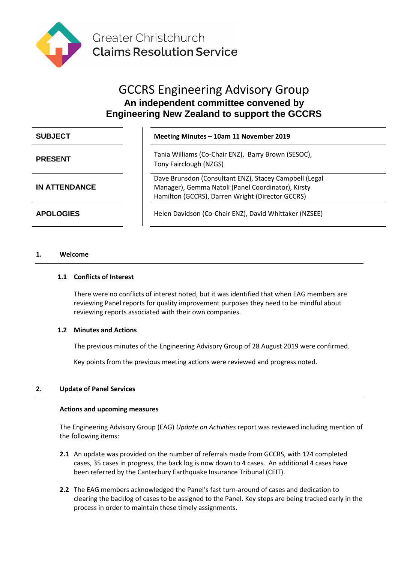

# GCCRS Engineering Advisory Group **An independent committee convened by Engineering New Zealand to support the GCCRS**

| <b>SUBJECT</b>       | Meeting Minutes - 10am 11 November 2019                                                                                                                          |
|----------------------|------------------------------------------------------------------------------------------------------------------------------------------------------------------|
| <b>PRESENT</b>       | Tania Williams (Co-Chair ENZ), Barry Brown (SESOC),<br>Tony Fairclough (NZGS)                                                                                    |
| <b>IN ATTENDANCE</b> | Dave Brunsdon (Consultant ENZ), Stacey Campbell (Legal<br>Manager), Gemma Natoli (Panel Coordinator), Kirsty<br>Hamilton (GCCRS), Darren Wright (Director GCCRS) |
| <b>APOLOGIES</b>     | Helen Davidson (Co-Chair ENZ), David Whittaker (NZSEE)                                                                                                           |

# **1. Welcome**

## **1.1 Conflicts of Interest**

There were no conflicts of interest noted, but it was identified that when EAG members are reviewing Panel reports for quality improvement purposes they need to be mindful about reviewing reports associated with their own companies.

#### **1.2 Minutes and Actions**

The previous minutes of the Engineering Advisory Group of 28 August 2019 were confirmed.

Key points from the previous meeting actions were reviewed and progress noted.

# **2. Update of Panel Services**

#### **Actions and upcoming measures**

The Engineering Advisory Group (EAG) *Update on Activities* report was reviewed including mention of the following items:

- **2.1** An update was provided on the number of referrals made from GCCRS, with 124 completed cases, 35 cases in progress, the back log is now down to 4 cases. An additional 4 cases have been referred by the Canterbury Earthquake Insurance Tribunal (CEIT).
- **2.2** The EAG members acknowledged the Panel's fast turn-around of cases and dedication to clearing the backlog of cases to be assigned to the Panel. Key steps are being tracked early in the process in order to maintain these timely assignments.